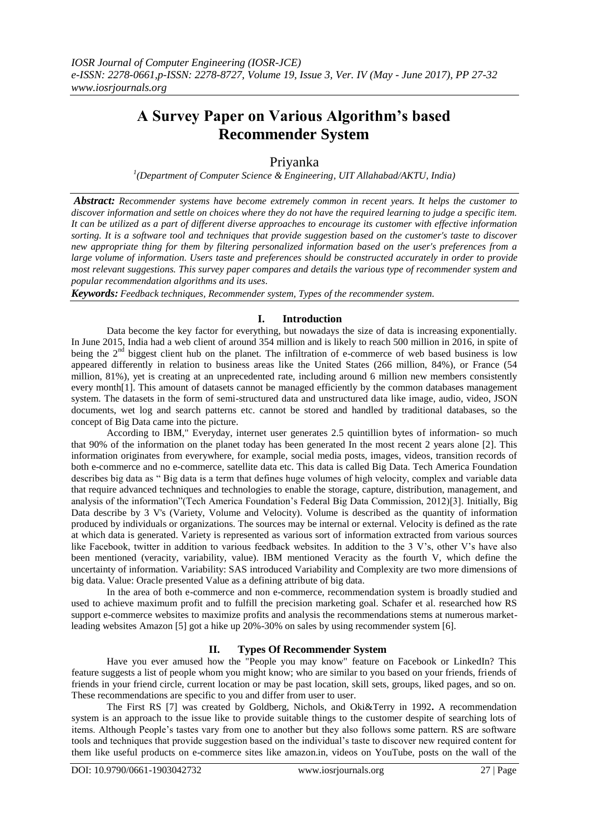# **A Survey Paper on Various Algorithm's based Recommender System**

## Priyanka

*1 (Department of Computer Science & Engineering, UIT Allahabad/AKTU, India)*

*Abstract: Recommender systems have become extremely common in recent years. It helps the customer to discover information and settle on choices where they do not have the required learning to judge a specific item. It can be utilized as a part of different diverse approaches to encourage its customer with effective information sorting. It is a software tool and techniques that provide suggestion based on the customer's taste to discover new appropriate thing for them by filtering personalized information based on the user's preferences from a large volume of information. Users taste and preferences should be constructed accurately in order to provide most relevant suggestions. This survey paper compares and details the various type of recommender system and popular recommendation algorithms and its uses.*

*Keywords: Feedback techniques, Recommender system, Types of the recommender system.*

## **I. Introduction**

Data become the key factor for everything, but nowadays the size of data is increasing exponentially. In June 2015, India had a web client of around 354 million and is likely to reach 500 million in 2016, in spite of being the  $2<sup>nd</sup>$  biggest client hub on the planet. The infiltration of e-commerce of web based business is low appeared differently in relation to business areas like the United States (266 million, 84%), or France (54 million, 81%), yet is creating at an unprecedented rate, including around 6 million new members consistently every month<sup>[1]</sup>. This amount of datasets cannot be managed efficiently by the common databases management system. The datasets in the form of semi-structured data and unstructured data like image, audio, video, JSON documents, wet log and search patterns etc. cannot be stored and handled by traditional databases, so the concept of Big Data came into the picture.

According to IBM," Everyday, internet user generates 2.5 quintillion bytes of information- so much that 90% of the information on the planet today has been generated In the most recent 2 years alone [2]. This information originates from everywhere, for example, social media posts, images, videos, transition records of both e-commerce and no e-commerce, satellite data etc. This data is called Big Data. Tech America Foundation describes big data as " Big data is a term that defines huge volumes of high velocity, complex and variable data that require advanced techniques and technologies to enable the storage, capture, distribution, management, and analysis of the information"(Tech America Foundation's Federal Big Data Commission, 2012)[3]. Initially, Big Data describe by 3 V's (Variety, Volume and Velocity). Volume is described as the quantity of information produced by individuals or organizations. The sources may be internal or external. Velocity is defined as the rate at which data is generated. Variety is represented as various sort of information extracted from various sources like Facebook, twitter in addition to various feedback websites. In addition to the 3 V's, other V's have also been mentioned (veracity, variability, value). IBM mentioned Veracity as the fourth V, which define the uncertainty of information. Variability: SAS introduced Variability and Complexity are two more dimensions of big data. Value: Oracle presented Value as a defining attribute of big data.

In the area of both e-commerce and non e-commerce, recommendation system is broadly studied and used to achieve maximum profit and to fulfill the precision marketing goal. Schafer et al. researched how RS support e-commerce websites to maximize profits and analysis the recommendations stems at numerous marketleading websites Amazon [5] got a hike up 20%-30% on sales by using recommender system [6].

## **II. Types Of Recommender System**

Have you ever amused how the "People you may know" feature on Facebook or LinkedIn? This feature suggests a list of people whom you might know; who are similar to you based on your friends, friends of friends in your friend circle, current location or may be past location, skill sets, groups, liked pages, and so on. These recommendations are specific to you and differ from user to user.

The First RS [7] was created by Goldberg, Nichols, and Oki&Terry in 1992**.** A recommendation system is an approach to the issue like to provide suitable things to the customer despite of searching lots of items. Although People's tastes vary from one to another but they also follows some pattern. RS are software tools and techniques that provide suggestion based on the individual's taste to discover new required content for them like useful products on e-commerce sites like amazon.in, videos on YouTube, posts on the wall of the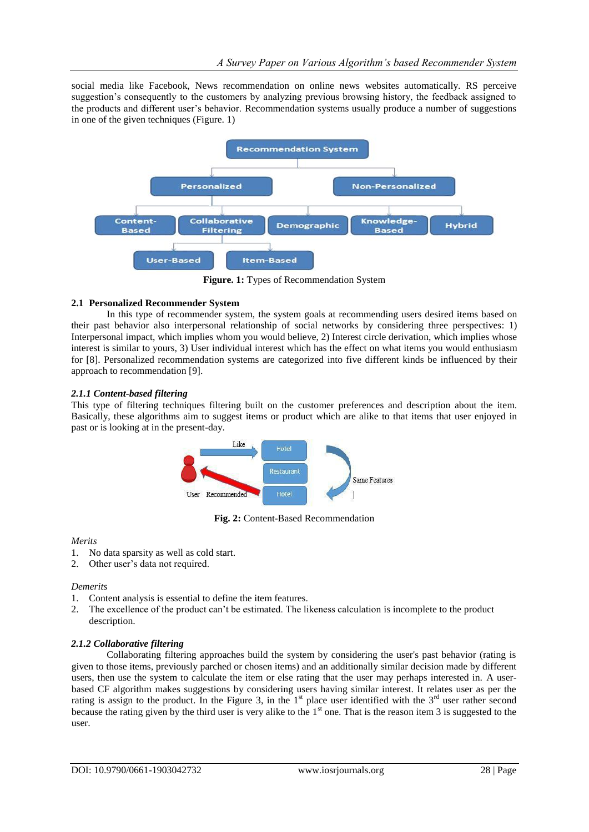social media like Facebook, News recommendation on online news websites automatically. RS perceive suggestion's consequently to the customers by analyzing previous browsing history, the feedback assigned to the products and different user's behavior. Recommendation systems usually produce a number of suggestions in one of the given techniques (Figure. 1)



**Figure. 1:** Types of Recommendation System

## **2.1 Personalized Recommender System**

In this type of recommender system, the system goals at recommending users desired items based on their past behavior also interpersonal relationship of social networks by considering three perspectives: 1) Interpersonal impact, which implies whom you would believe, 2) Interest circle derivation, which implies whose interest is similar to yours, 3) User individual interest which has the effect on what items you would enthusiasm for [8]. Personalized recommendation systems are categorized into five different kinds be influenced by their approach to recommendation [9].

## *2.1.1 Content-based filtering*

This type of filtering techniques filtering built on the customer preferences and description about the item. Basically, these algorithms aim to suggest items or product which are alike to that items that user enjoyed in past or is looking at in the present-day.



**Fig. 2:** Content-Based Recommendation

#### *Merits*

- 1. No data sparsity as well as cold start.
- 2. Other user's data not required.

#### *Demerits*

- 1. Content analysis is essential to define the item features.
- 2. The excellence of the product can't be estimated. The likeness calculation is incomplete to the product description.

#### *2.1.2 Collaborative filtering*

Collaborating filtering approaches build the system by considering the user's past behavior (rating is given to those items, previously parched or chosen items) and an additionally similar decision made by different users, then use the system to calculate the item or else rating that the user may perhaps interested in. A userbased CF algorithm makes suggestions by considering users having similar interest. It relates user as per the rating is assign to the product. In the Figure 3, in the  $1<sup>st</sup>$  place user identified with the  $3<sup>rd</sup>$  user rather second because the rating given by the third user is very alike to the 1<sup>st</sup> one. That is the reason item 3 is suggested to the user.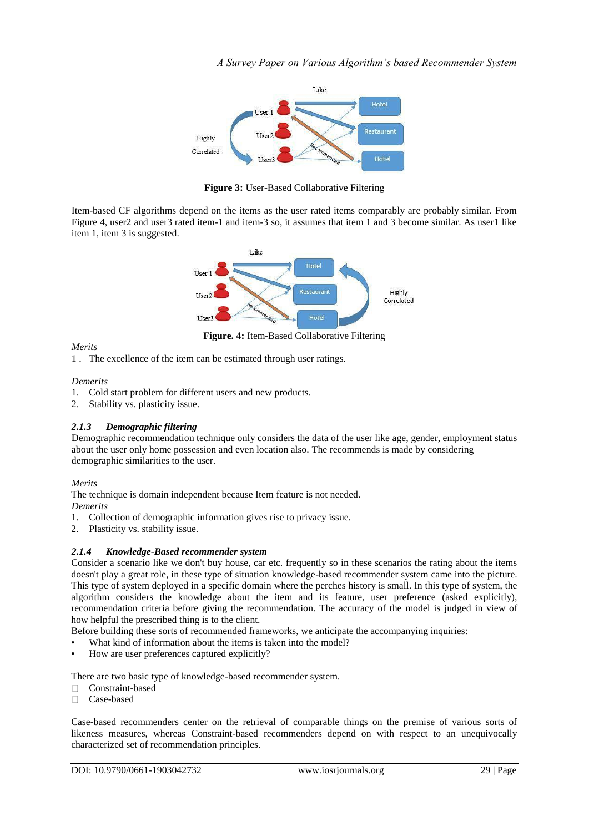

**Figure 3:** User-Based Collaborative Filtering

Item-based CF algorithms depend on the items as the user rated items comparably are probably similar. From Figure 4, user2 and user3 rated item-1 and item-3 so, it assumes that item 1 and 3 become similar. As user1 like item 1, item 3 is suggested.



**Figure. 4:** Item-Based Collaborative Filtering

*Merits*

1 . The excellence of the item can be estimated through user ratings.

*Demerits*

- 1. Cold start problem for different users and new products.
- 2. Stability vs. plasticity issue.

## *2.1.3 Demographic filtering*

Demographic recommendation technique only considers the data of the user like age, gender, employment status about the user only home possession and even location also. The recommends is made by considering demographic similarities to the user.

## *Merits*

The technique is domain independent because Item feature is not needed.

*Demerits*

1. Collection of demographic information gives rise to privacy issue.

2. Plasticity vs. stability issue.

## *2.1.4 Knowledge-Based recommender system*

Consider a scenario like we don't buy house, car etc. frequently so in these scenarios the rating about the items doesn't play a great role, in these type of situation knowledge-based recommender system came into the picture. This type of system deployed in a specific domain where the perches history is small. In this type of system, the algorithm considers the knowledge about the item and its feature, user preference (asked explicitly), recommendation criteria before giving the recommendation. The accuracy of the model is judged in view of how helpful the prescribed thing is to the client.

Before building these sorts of recommended frameworks, we anticipate the accompanying inquiries:

- What kind of information about the items is taken into the model?
- How are user preferences captured explicitly?

There are two basic type of knowledge-based recommender system.

- Constraint-based  $\Box$
- Case-based  $\Box$

Case-based recommenders center on the retrieval of comparable things on the premise of various sorts of likeness measures, whereas Constraint-based recommenders depend on with respect to an unequivocally characterized set of recommendation principles.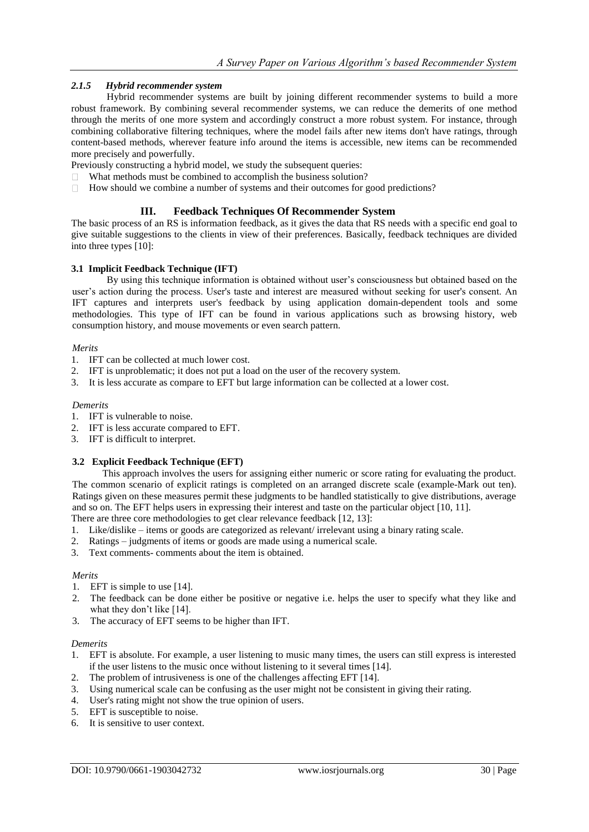## *2.1.5 Hybrid recommender system*

Hybrid recommender systems are built by joining different recommender systems to build a more robust framework. By combining several recommender systems, we can reduce the demerits of one method through the merits of one more system and accordingly construct a more robust system. For instance, through combining collaborative filtering techniques, where the model fails after new items don't have ratings, through content-based methods, wherever feature info around the items is accessible, new items can be recommended more precisely and powerfully.

Previously constructing a hybrid model, we study the subsequent queries:

- $\Box$  What methods must be combined to accomplish the business solution?
- $\Box$ How should we combine a number of systems and their outcomes for good predictions?

## **III. Feedback Techniques Of Recommender System**

The basic process of an RS is information feedback, as it gives the data that RS needs with a specific end goal to give suitable suggestions to the clients in view of their preferences. Basically, feedback techniques are divided into three types [10]:

## **3.1 Implicit Feedback Technique (IFT)**

By using this technique information is obtained without user's consciousness but obtained based on the user's action during the process. User's taste and interest are measured without seeking for user's consent. An IFT captures and interprets user's feedback by using application domain-dependent tools and some methodologies. This type of IFT can be found in various applications such as browsing history, web consumption history, and mouse movements or even search pattern.

#### *Merits*

- 1. IFT can be collected at much lower cost.
- 2. IFT is unproblematic; it does not put a load on the user of the recovery system.
- 3. It is less accurate as compare to EFT but large information can be collected at a lower cost.

#### *Demerits*

- 1. IFT is vulnerable to noise.
- 2. IFT is less accurate compared to EFT.
- 3. IFT is difficult to interpret.

## **3.2 Explicit Feedback Technique (EFT)**

This approach involves the users for assigning either numeric or score rating for evaluating the product. The common scenario of explicit ratings is completed on an arranged discrete scale (example-Mark out ten). Ratings given on these measures permit these judgments to be handled statistically to give distributions, average and so on. The EFT helps users in expressing their interest and taste on the particular object [10, 11].

There are three core methodologies to get clear relevance feedback [12, 13]:

- 1. Like/dislike items or goods are categorized as relevant/ irrelevant using a binary rating scale.
- 2. Ratings judgments of items or goods are made using a numerical scale.
- 3. Text comments- comments about the item is obtained.

#### *Merits*

- 1. EFT is simple to use [14].
- 2. The feedback can be done either be positive or negative i.e. helps the user to specify what they like and what they don't like [14].
- 3. The accuracy of EFT seems to be higher than IFT.

#### *Demerits*

- 1. EFT is absolute. For example, a user listening to music many times, the users can still express is interested if the user listens to the music once without listening to it several times [14].
- 2. The problem of intrusiveness is one of the challenges affecting EFT [14].
- 3. Using numerical scale can be confusing as the user might not be consistent in giving their rating.
- 4. User's rating might not show the true opinion of users.
- 5. EFT is susceptible to noise.
- 6. It is sensitive to user context.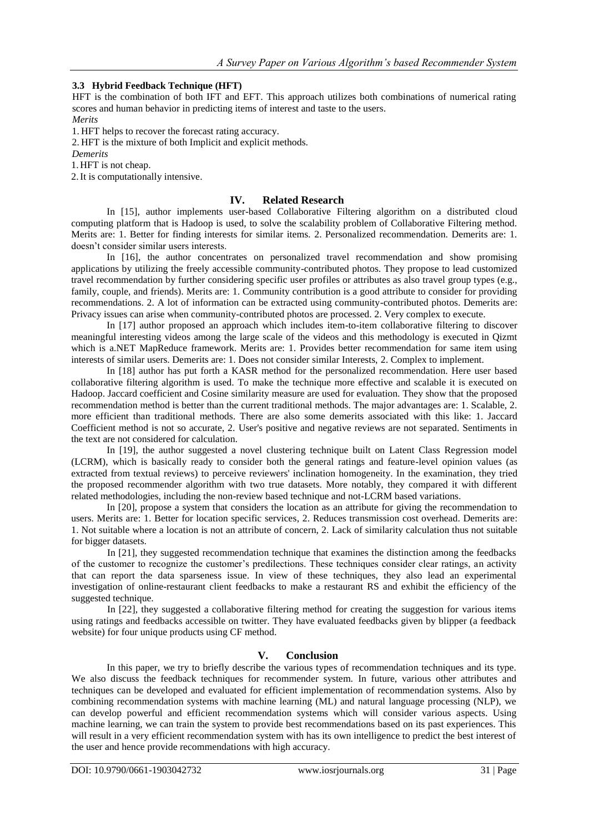## **3.3 Hybrid Feedback Technique (HFT)**

HFT is the combination of both IFT and EFT. This approach utilizes both combinations of numerical rating scores and human behavior in predicting items of interest and taste to the users. *Merits*

1. HFT helps to recover the forecast rating accuracy.

2. HFT is the mixture of both Implicit and explicit methods.

*Demerits*

1. HFT is not cheap.

2.It is computationally intensive.

## **IV. Related Research**

In [15], author implements user-based Collaborative Filtering algorithm on a distributed cloud computing platform that is Hadoop is used, to solve the scalability problem of Collaborative Filtering method. Merits are: 1. Better for finding interests for similar items. 2. Personalized recommendation. Demerits are: 1. doesn't consider similar users interests.

In [16], the author concentrates on personalized travel recommendation and show promising applications by utilizing the freely accessible community-contributed photos. They propose to lead customized travel recommendation by further considering specific user profiles or attributes as also travel group types (e.g., family, couple, and friends). Merits are: 1. Community contribution is a good attribute to consider for providing recommendations. 2. A lot of information can be extracted using community-contributed photos. Demerits are: Privacy issues can arise when community-contributed photos are processed. 2. Very complex to execute.

In [17] author proposed an approach which includes item-to-item collaborative filtering to discover meaningful interesting videos among the large scale of the videos and this methodology is executed in Qizmt which is a.NET MapReduce framework. Merits are: 1. Provides better recommendation for same item using interests of similar users. Demerits are: 1. Does not consider similar Interests, 2. Complex to implement.

In [18] author has put forth a KASR method for the personalized recommendation. Here user based collaborative filtering algorithm is used. To make the technique more effective and scalable it is executed on Hadoop. Jaccard coefficient and Cosine similarity measure are used for evaluation. They show that the proposed recommendation method is better than the current traditional methods. The major advantages are: 1. Scalable, 2. more efficient than traditional methods. There are also some demerits associated with this like: 1. Jaccard Coefficient method is not so accurate, 2. User's positive and negative reviews are not separated. Sentiments in the text are not considered for calculation.

In [19], the author suggested a novel clustering technique built on Latent Class Regression model (LCRM), which is basically ready to consider both the general ratings and feature-level opinion values (as extracted from textual reviews) to perceive reviewers' inclination homogeneity. In the examination, they tried the proposed recommender algorithm with two true datasets. More notably, they compared it with different related methodologies, including the non-review based technique and not-LCRM based variations.

In [20], propose a system that considers the location as an attribute for giving the recommendation to users. Merits are: 1. Better for location specific services, 2. Reduces transmission cost overhead. Demerits are: 1. Not suitable where a location is not an attribute of concern, 2. Lack of similarity calculation thus not suitable for bigger datasets.

In [21], they suggested recommendation technique that examines the distinction among the feedbacks of the customer to recognize the customer's predilections. These techniques consider clear ratings, an activity that can report the data sparseness issue. In view of these techniques, they also lead an experimental investigation of online-restaurant client feedbacks to make a restaurant RS and exhibit the efficiency of the suggested technique.

In [22], they suggested a collaborative filtering method for creating the suggestion for various items using ratings and feedbacks accessible on twitter. They have evaluated feedbacks given by blipper (a feedback website) for four unique products using CF method.

## **V. Conclusion**

In this paper, we try to briefly describe the various types of recommendation techniques and its type. We also discuss the feedback techniques for recommender system. In future, various other attributes and techniques can be developed and evaluated for efficient implementation of recommendation systems. Also by combining recommendation systems with machine learning (ML) and natural language processing (NLP), we can develop powerful and efficient recommendation systems which will consider various aspects. Using machine learning, we can train the system to provide best recommendations based on its past experiences. This will result in a very efficient recommendation system with has its own intelligence to predict the best interest of the user and hence provide recommendations with high accuracy.